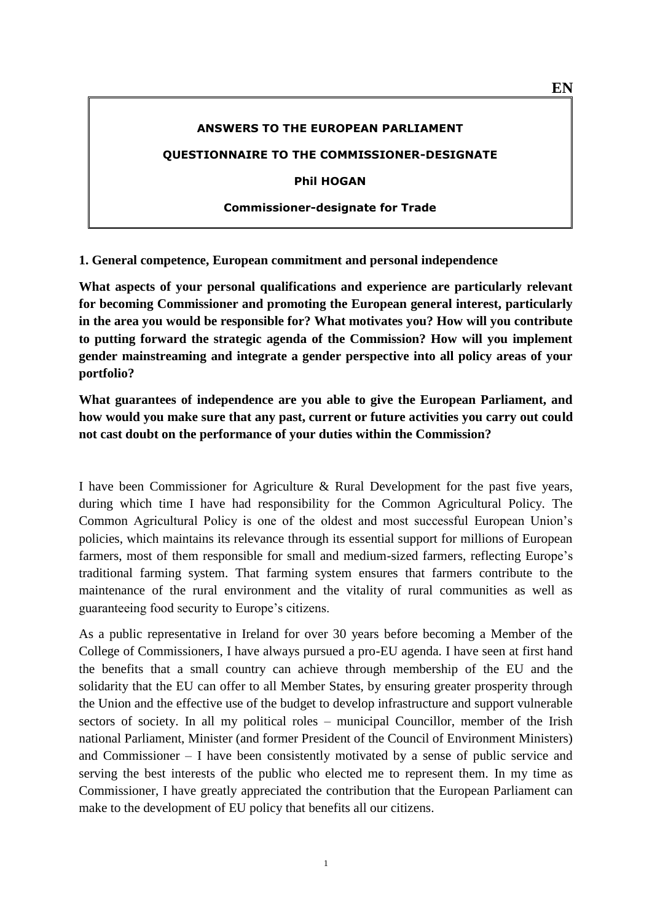#### **ANSWERS TO THE EUROPEAN PARLIAMENT**

#### **QUESTIONNAIRE TO THE COMMISSIONER-DESIGNATE**

**Phil HOGAN**

#### **Commissioner-designate for Trade**

**1. General competence, European commitment and personal independence**

**What aspects of your personal qualifications and experience are particularly relevant for becoming Commissioner and promoting the European general interest, particularly in the area you would be responsible for? What motivates you? How will you contribute to putting forward the strategic agenda of the Commission? How will you implement gender mainstreaming and integrate a gender perspective into all policy areas of your portfolio?**

**What guarantees of independence are you able to give the European Parliament, and how would you make sure that any past, current or future activities you carry out could not cast doubt on the performance of your duties within the Commission?**

I have been Commissioner for Agriculture & Rural Development for the past five years, during which time I have had responsibility for the Common Agricultural Policy. The Common Agricultural Policy is one of the oldest and most successful European Union's policies, which maintains its relevance through its essential support for millions of European farmers, most of them responsible for small and medium-sized farmers, reflecting Europe's traditional farming system. That farming system ensures that farmers contribute to the maintenance of the rural environment and the vitality of rural communities as well as guaranteeing food security to Europe's citizens.

As a public representative in Ireland for over 30 years before becoming a Member of the College of Commissioners, I have always pursued a pro-EU agenda. I have seen at first hand the benefits that a small country can achieve through membership of the EU and the solidarity that the EU can offer to all Member States, by ensuring greater prosperity through the Union and the effective use of the budget to develop infrastructure and support vulnerable sectors of society. In all my political roles – municipal Councillor, member of the Irish national Parliament, Minister (and former President of the Council of Environment Ministers) and Commissioner – I have been consistently motivated by a sense of public service and serving the best interests of the public who elected me to represent them. In my time as Commissioner, I have greatly appreciated the contribution that the European Parliament can make to the development of EU policy that benefits all our citizens.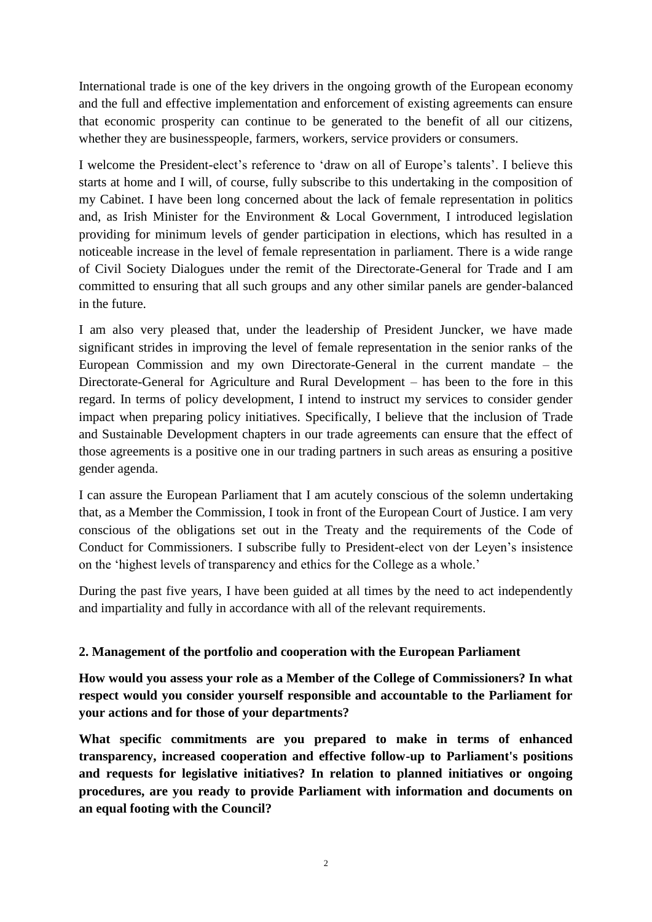International trade is one of the key drivers in the ongoing growth of the European economy and the full and effective implementation and enforcement of existing agreements can ensure that economic prosperity can continue to be generated to the benefit of all our citizens, whether they are businesspeople, farmers, workers, service providers or consumers.

I welcome the President-elect's reference to 'draw on all of Europe's talents'. I believe this starts at home and I will, of course, fully subscribe to this undertaking in the composition of my Cabinet. I have been long concerned about the lack of female representation in politics and, as Irish Minister for the Environment & Local Government, I introduced legislation providing for minimum levels of gender participation in elections, which has resulted in a noticeable increase in the level of female representation in parliament. There is a wide range of Civil Society Dialogues under the remit of the Directorate-General for Trade and I am committed to ensuring that all such groups and any other similar panels are gender-balanced in the future.

I am also very pleased that, under the leadership of President Juncker, we have made significant strides in improving the level of female representation in the senior ranks of the European Commission and my own Directorate-General in the current mandate – the Directorate-General for Agriculture and Rural Development – has been to the fore in this regard. In terms of policy development, I intend to instruct my services to consider gender impact when preparing policy initiatives. Specifically, I believe that the inclusion of Trade and Sustainable Development chapters in our trade agreements can ensure that the effect of those agreements is a positive one in our trading partners in such areas as ensuring a positive gender agenda.

I can assure the European Parliament that I am acutely conscious of the solemn undertaking that, as a Member the Commission, I took in front of the European Court of Justice. I am very conscious of the obligations set out in the Treaty and the requirements of the Code of Conduct for Commissioners. I subscribe fully to President-elect von der Leyen's insistence on the 'highest levels of transparency and ethics for the College as a whole.'

During the past five years, I have been guided at all times by the need to act independently and impartiality and fully in accordance with all of the relevant requirements.

# **2. Management of the portfolio and cooperation with the European Parliament**

**How would you assess your role as a Member of the College of Commissioners? In what respect would you consider yourself responsible and accountable to the Parliament for your actions and for those of your departments?**

**What specific commitments are you prepared to make in terms of enhanced transparency, increased cooperation and effective follow-up to Parliament's positions and requests for legislative initiatives? In relation to planned initiatives or ongoing procedures, are you ready to provide Parliament with information and documents on an equal footing with the Council?**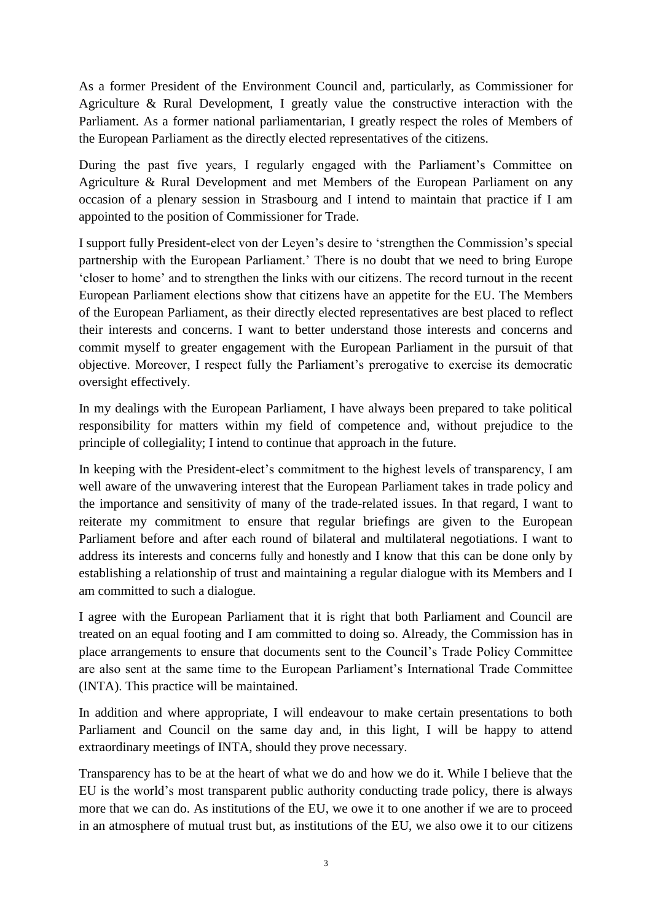As a former President of the Environment Council and, particularly, as Commissioner for Agriculture & Rural Development, I greatly value the constructive interaction with the Parliament. As a former national parliamentarian, I greatly respect the roles of Members of the European Parliament as the directly elected representatives of the citizens.

During the past five years, I regularly engaged with the Parliament's Committee on Agriculture & Rural Development and met Members of the European Parliament on any occasion of a plenary session in Strasbourg and I intend to maintain that practice if I am appointed to the position of Commissioner for Trade.

I support fully President-elect von der Leyen's desire to 'strengthen the Commission's special partnership with the European Parliament.' There is no doubt that we need to bring Europe 'closer to home' and to strengthen the links with our citizens. The record turnout in the recent European Parliament elections show that citizens have an appetite for the EU. The Members of the European Parliament, as their directly elected representatives are best placed to reflect their interests and concerns. I want to better understand those interests and concerns and commit myself to greater engagement with the European Parliament in the pursuit of that objective. Moreover, I respect fully the Parliament's prerogative to exercise its democratic oversight effectively.

In my dealings with the European Parliament, I have always been prepared to take political responsibility for matters within my field of competence and, without prejudice to the principle of collegiality; I intend to continue that approach in the future.

In keeping with the President-elect's commitment to the highest levels of transparency, I am well aware of the unwavering interest that the European Parliament takes in trade policy and the importance and sensitivity of many of the trade-related issues. In that regard, I want to reiterate my commitment to ensure that regular briefings are given to the European Parliament before and after each round of bilateral and multilateral negotiations. I want to address its interests and concerns fully and honestly and I know that this can be done only by establishing a relationship of trust and maintaining a regular dialogue with its Members and I am committed to such a dialogue.

I agree with the European Parliament that it is right that both Parliament and Council are treated on an equal footing and I am committed to doing so. Already, the Commission has in place arrangements to ensure that documents sent to the Council's Trade Policy Committee are also sent at the same time to the European Parliament's International Trade Committee (INTA). This practice will be maintained.

In addition and where appropriate, I will endeavour to make certain presentations to both Parliament and Council on the same day and, in this light, I will be happy to attend extraordinary meetings of INTA, should they prove necessary.

Transparency has to be at the heart of what we do and how we do it. While I believe that the EU is the world's most transparent public authority conducting trade policy, there is always more that we can do. As institutions of the EU, we owe it to one another if we are to proceed in an atmosphere of mutual trust but, as institutions of the EU, we also owe it to our citizens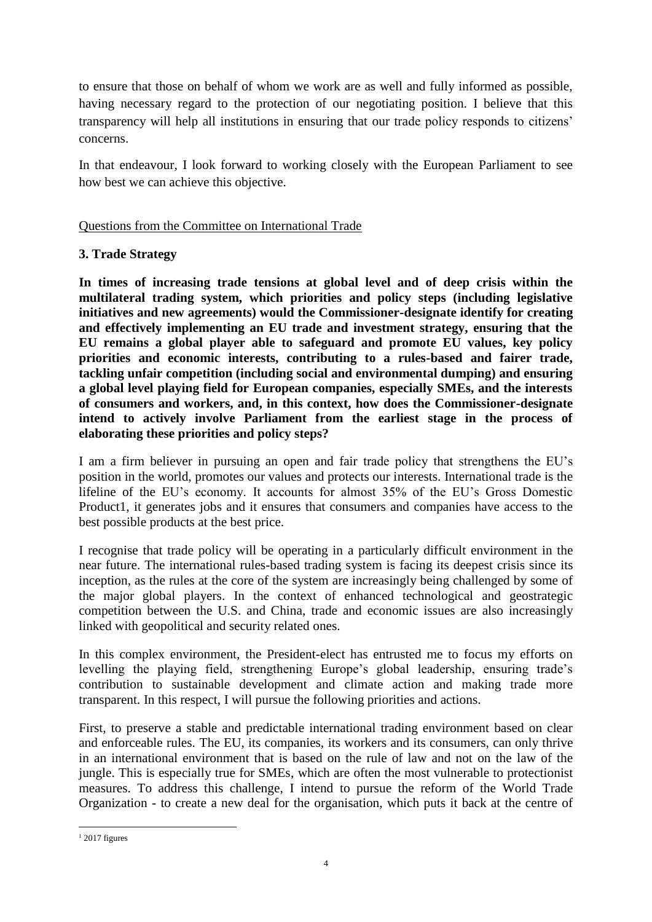to ensure that those on behalf of whom we work are as well and fully informed as possible, having necessary regard to the protection of our negotiating position. I believe that this transparency will help all institutions in ensuring that our trade policy responds to citizens' concerns.

In that endeavour, I look forward to working closely with the European Parliament to see how best we can achieve this objective.

# Questions from the Committee on International Trade

### **3. Trade Strategy**

**In times of increasing trade tensions at global level and of deep crisis within the multilateral trading system, which priorities and policy steps (including legislative initiatives and new agreements) would the Commissioner-designate identify for creating and effectively implementing an EU trade and investment strategy, ensuring that the EU remains a global player able to safeguard and promote EU values, key policy priorities and economic interests, contributing to a rules-based and fairer trade, tackling unfair competition (including social and environmental dumping) and ensuring a global level playing field for European companies, especially SMEs, and the interests of consumers and workers, and, in this context, how does the Commissioner-designate intend to actively involve Parliament from the earliest stage in the process of elaborating these priorities and policy steps?**

I am a firm believer in pursuing an open and fair trade policy that strengthens the EU's position in the world, promotes our values and protects our interests. International trade is the lifeline of the EU's economy. It accounts for almost 35% of the EU's Gross Domestic Product1, it generates jobs and it ensures that consumers and companies have access to the best possible products at the best price.

I recognise that trade policy will be operating in a particularly difficult environment in the near future. The international rules-based trading system is facing its deepest crisis since its inception, as the rules at the core of the system are increasingly being challenged by some of the major global players. In the context of enhanced technological and geostrategic competition between the U.S. and China, trade and economic issues are also increasingly linked with geopolitical and security related ones.

In this complex environment, the President-elect has entrusted me to focus my efforts on levelling the playing field, strengthening Europe's global leadership, ensuring trade's contribution to sustainable development and climate action and making trade more transparent. In this respect, I will pursue the following priorities and actions.

First, to preserve a stable and predictable international trading environment based on clear and enforceable rules. The EU, its companies, its workers and its consumers, can only thrive in an international environment that is based on the rule of law and not on the law of the jungle. This is especially true for SMEs, which are often the most vulnerable to protectionist measures. To address this challenge, I intend to pursue the reform of the World Trade Organization - to create a new deal for the organisation, which puts it back at the centre of

**<sup>.</sup>**  $1$  2017 figures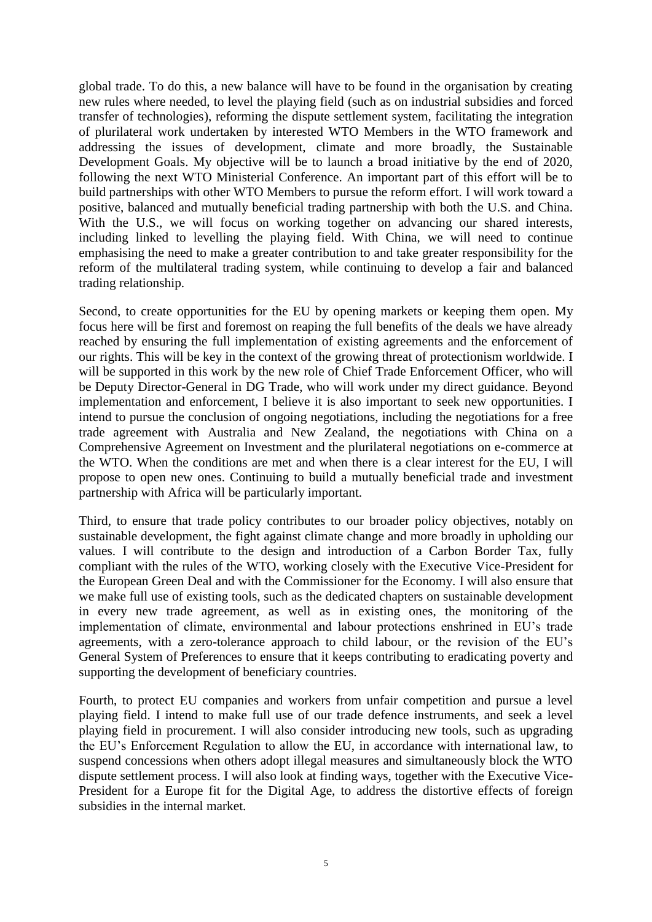global trade. To do this, a new balance will have to be found in the organisation by creating new rules where needed, to level the playing field (such as on industrial subsidies and forced transfer of technologies), reforming the dispute settlement system, facilitating the integration of plurilateral work undertaken by interested WTO Members in the WTO framework and addressing the issues of development, climate and more broadly, the Sustainable Development Goals. My objective will be to launch a broad initiative by the end of 2020, following the next WTO Ministerial Conference. An important part of this effort will be to build partnerships with other WTO Members to pursue the reform effort. I will work toward a positive, balanced and mutually beneficial trading partnership with both the U.S. and China. With the U.S., we will focus on working together on advancing our shared interests, including linked to levelling the playing field. With China, we will need to continue emphasising the need to make a greater contribution to and take greater responsibility for the reform of the multilateral trading system, while continuing to develop a fair and balanced trading relationship.

Second, to create opportunities for the EU by opening markets or keeping them open. My focus here will be first and foremost on reaping the full benefits of the deals we have already reached by ensuring the full implementation of existing agreements and the enforcement of our rights. This will be key in the context of the growing threat of protectionism worldwide. I will be supported in this work by the new role of Chief Trade Enforcement Officer, who will be Deputy Director-General in DG Trade, who will work under my direct guidance. Beyond implementation and enforcement, I believe it is also important to seek new opportunities. I intend to pursue the conclusion of ongoing negotiations, including the negotiations for a free trade agreement with Australia and New Zealand, the negotiations with China on a Comprehensive Agreement on Investment and the plurilateral negotiations on e-commerce at the WTO. When the conditions are met and when there is a clear interest for the EU, I will propose to open new ones. Continuing to build a mutually beneficial trade and investment partnership with Africa will be particularly important.

Third, to ensure that trade policy contributes to our broader policy objectives, notably on sustainable development, the fight against climate change and more broadly in upholding our values. I will contribute to the design and introduction of a Carbon Border Tax, fully compliant with the rules of the WTO, working closely with the Executive Vice-President for the European Green Deal and with the Commissioner for the Economy. I will also ensure that we make full use of existing tools, such as the dedicated chapters on sustainable development in every new trade agreement, as well as in existing ones, the monitoring of the implementation of climate, environmental and labour protections enshrined in EU's trade agreements, with a zero-tolerance approach to child labour, or the revision of the EU's General System of Preferences to ensure that it keeps contributing to eradicating poverty and supporting the development of beneficiary countries.

Fourth, to protect EU companies and workers from unfair competition and pursue a level playing field. I intend to make full use of our trade defence instruments, and seek a level playing field in procurement. I will also consider introducing new tools, such as upgrading the EU's Enforcement Regulation to allow the EU, in accordance with international law, to suspend concessions when others adopt illegal measures and simultaneously block the WTO dispute settlement process. I will also look at finding ways, together with the Executive Vice-President for a Europe fit for the Digital Age, to address the distortive effects of foreign subsidies in the internal market.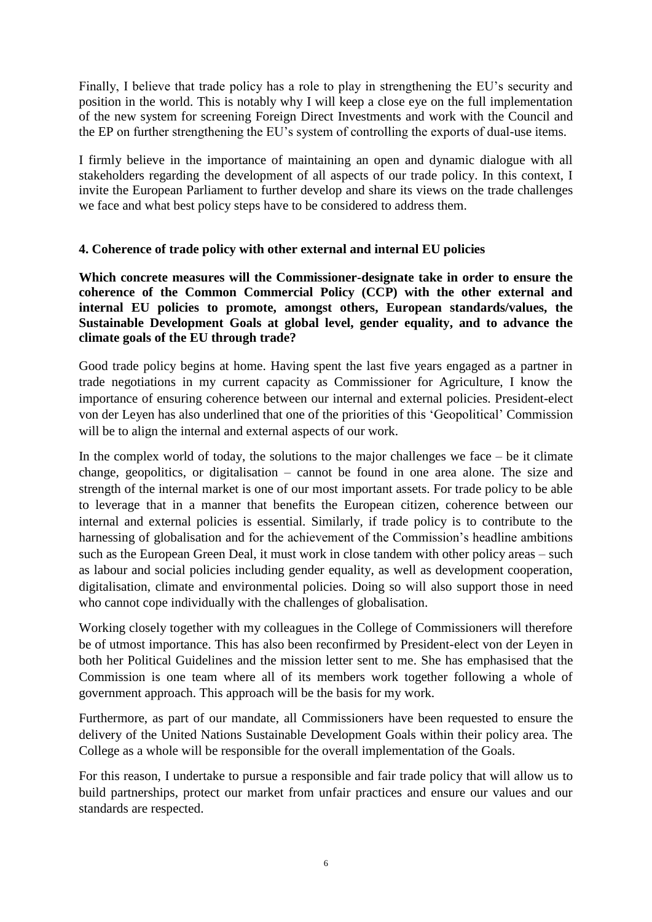Finally, I believe that trade policy has a role to play in strengthening the EU's security and position in the world. This is notably why I will keep a close eye on the full implementation of the new system for screening Foreign Direct Investments and work with the Council and the EP on further strengthening the EU's system of controlling the exports of dual-use items.

I firmly believe in the importance of maintaining an open and dynamic dialogue with all stakeholders regarding the development of all aspects of our trade policy. In this context, I invite the European Parliament to further develop and share its views on the trade challenges we face and what best policy steps have to be considered to address them.

### **4. Coherence of trade policy with other external and internal EU policies**

**Which concrete measures will the Commissioner-designate take in order to ensure the coherence of the Common Commercial Policy (CCP) with the other external and internal EU policies to promote, amongst others, European standards/values, the Sustainable Development Goals at global level, gender equality, and to advance the climate goals of the EU through trade?**

Good trade policy begins at home. Having spent the last five years engaged as a partner in trade negotiations in my current capacity as Commissioner for Agriculture, I know the importance of ensuring coherence between our internal and external policies. President-elect von der Leyen has also underlined that one of the priorities of this 'Geopolitical' Commission will be to align the internal and external aspects of our work.

In the complex world of today, the solutions to the major challenges we face  $-$  be it climate change, geopolitics, or digitalisation – cannot be found in one area alone. The size and strength of the internal market is one of our most important assets. For trade policy to be able to leverage that in a manner that benefits the European citizen, coherence between our internal and external policies is essential. Similarly, if trade policy is to contribute to the harnessing of globalisation and for the achievement of the Commission's headline ambitions such as the European Green Deal, it must work in close tandem with other policy areas – such as labour and social policies including gender equality, as well as development cooperation, digitalisation, climate and environmental policies. Doing so will also support those in need who cannot cope individually with the challenges of globalisation.

Working closely together with my colleagues in the College of Commissioners will therefore be of utmost importance. This has also been reconfirmed by President-elect von der Leyen in both her Political Guidelines and the mission letter sent to me. She has emphasised that the Commission is one team where all of its members work together following a whole of government approach. This approach will be the basis for my work.

Furthermore, as part of our mandate, all Commissioners have been requested to ensure the delivery of the United Nations Sustainable Development Goals within their policy area. The College as a whole will be responsible for the overall implementation of the Goals.

For this reason, I undertake to pursue a responsible and fair trade policy that will allow us to build partnerships, protect our market from unfair practices and ensure our values and our standards are respected.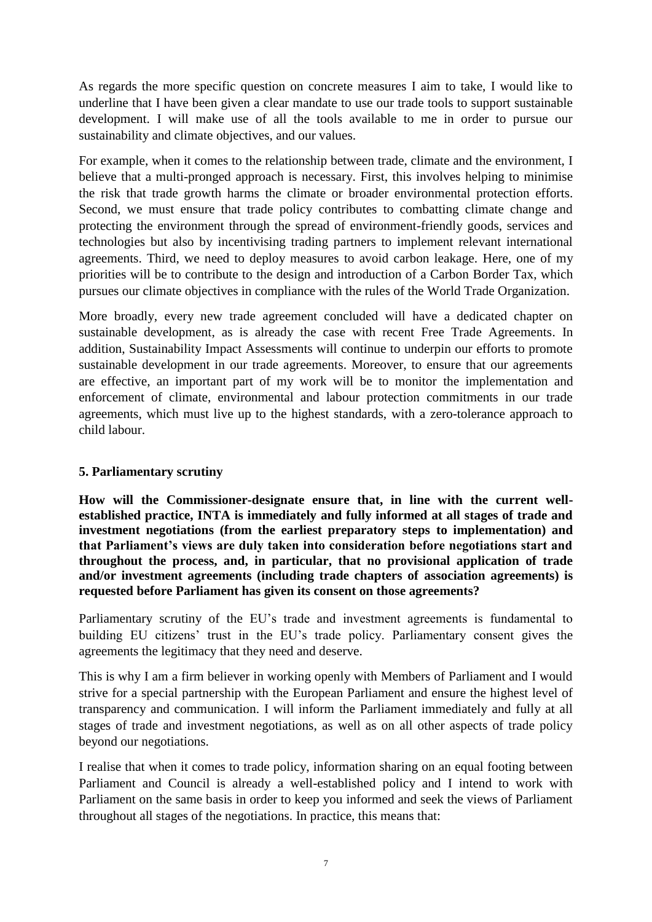As regards the more specific question on concrete measures I aim to take, I would like to underline that I have been given a clear mandate to use our trade tools to support sustainable development. I will make use of all the tools available to me in order to pursue our sustainability and climate objectives, and our values.

For example, when it comes to the relationship between trade, climate and the environment, I believe that a multi-pronged approach is necessary. First, this involves helping to minimise the risk that trade growth harms the climate or broader environmental protection efforts. Second, we must ensure that trade policy contributes to combatting climate change and protecting the environment through the spread of environment-friendly goods, services and technologies but also by incentivising trading partners to implement relevant international agreements. Third, we need to deploy measures to avoid carbon leakage. Here, one of my priorities will be to contribute to the design and introduction of a Carbon Border Tax, which pursues our climate objectives in compliance with the rules of the World Trade Organization.

More broadly, every new trade agreement concluded will have a dedicated chapter on sustainable development, as is already the case with recent Free Trade Agreements. In addition, Sustainability Impact Assessments will continue to underpin our efforts to promote sustainable development in our trade agreements. Moreover, to ensure that our agreements are effective, an important part of my work will be to monitor the implementation and enforcement of climate, environmental and labour protection commitments in our trade agreements, which must live up to the highest standards, with a zero-tolerance approach to child labour.

# **5. Parliamentary scrutiny**

**How will the Commissioner-designate ensure that, in line with the current wellestablished practice, INTA is immediately and fully informed at all stages of trade and investment negotiations (from the earliest preparatory steps to implementation) and that Parliament's views are duly taken into consideration before negotiations start and throughout the process, and, in particular, that no provisional application of trade and/or investment agreements (including trade chapters of association agreements) is requested before Parliament has given its consent on those agreements?**

Parliamentary scrutiny of the EU's trade and investment agreements is fundamental to building EU citizens' trust in the EU's trade policy. Parliamentary consent gives the agreements the legitimacy that they need and deserve.

This is why I am a firm believer in working openly with Members of Parliament and I would strive for a special partnership with the European Parliament and ensure the highest level of transparency and communication. I will inform the Parliament immediately and fully at all stages of trade and investment negotiations, as well as on all other aspects of trade policy beyond our negotiations.

I realise that when it comes to trade policy, information sharing on an equal footing between Parliament and Council is already a well-established policy and I intend to work with Parliament on the same basis in order to keep you informed and seek the views of Parliament throughout all stages of the negotiations. In practice, this means that: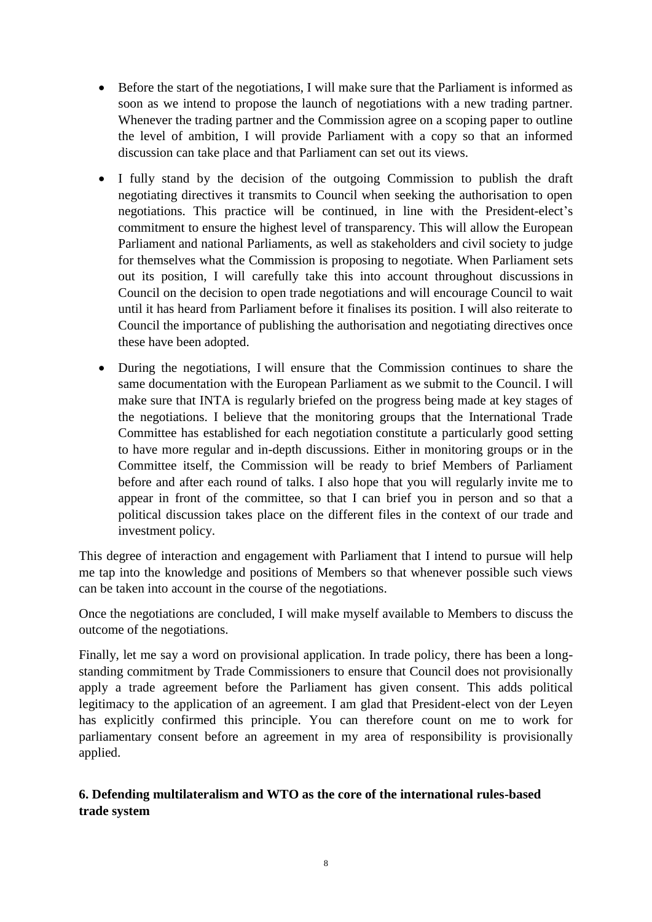- Before the start of the negotiations, I will make sure that the Parliament is informed as soon as we intend to propose the launch of negotiations with a new trading partner. Whenever the trading partner and the Commission agree on a scoping paper to outline the level of ambition, I will provide Parliament with a copy so that an informed discussion can take place and that Parliament can set out its views.
- I fully stand by the decision of the outgoing Commission to publish the draft negotiating directives it transmits to Council when seeking the authorisation to open negotiations. This practice will be continued, in line with the President-elect's commitment to ensure the highest level of transparency. This will allow the European Parliament and national Parliaments, as well as stakeholders and civil society to judge for themselves what the Commission is proposing to negotiate. When Parliament sets out its position, I will carefully take this into account throughout discussions in Council on the decision to open trade negotiations and will encourage Council to wait until it has heard from Parliament before it finalises its position. I will also reiterate to Council the importance of publishing the authorisation and negotiating directives once these have been adopted.
- During the negotiations, I will ensure that the Commission continues to share the same documentation with the European Parliament as we submit to the Council. I will make sure that INTA is regularly briefed on the progress being made at key stages of the negotiations. I believe that the monitoring groups that the International Trade Committee has established for each negotiation constitute a particularly good setting to have more regular and in-depth discussions. Either in monitoring groups or in the Committee itself, the Commission will be ready to brief Members of Parliament before and after each round of talks. I also hope that you will regularly invite me to appear in front of the committee, so that I can brief you in person and so that a political discussion takes place on the different files in the context of our trade and investment policy.

This degree of interaction and engagement with Parliament that I intend to pursue will help me tap into the knowledge and positions of Members so that whenever possible such views can be taken into account in the course of the negotiations.

Once the negotiations are concluded, I will make myself available to Members to discuss the outcome of the negotiations.

Finally, let me say a word on provisional application. In trade policy, there has been a longstanding commitment by Trade Commissioners to ensure that Council does not provisionally apply a trade agreement before the Parliament has given consent. This adds political legitimacy to the application of an agreement. I am glad that President-elect von der Leyen has explicitly confirmed this principle. You can therefore count on me to work for parliamentary consent before an agreement in my area of responsibility is provisionally applied.

# **6. Defending multilateralism and WTO as the core of the international rules-based trade system**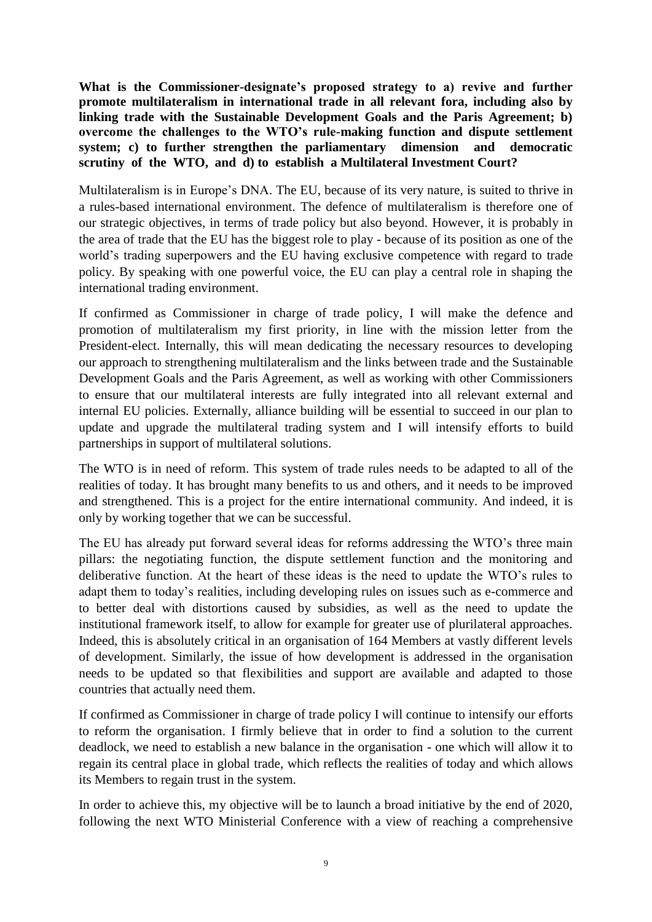**What is the Commissioner-designate's proposed strategy to a) revive and further promote multilateralism in international trade in all relevant fora, including also by linking trade with the Sustainable Development Goals and the Paris Agreement; b) overcome the challenges to the WTO's rule-making function and dispute settlement system; c) to further strengthen the parliamentary dimension and democratic scrutiny of the WTO, and d) to establish a Multilateral Investment Court?**

Multilateralism is in Europe's DNA. The EU, because of its very nature, is suited to thrive in a rules-based international environment. The defence of multilateralism is therefore one of our strategic objectives, in terms of trade policy but also beyond. However, it is probably in the area of trade that the EU has the biggest role to play - because of its position as one of the world's trading superpowers and the EU having exclusive competence with regard to trade policy. By speaking with one powerful voice, the EU can play a central role in shaping the international trading environment.

If confirmed as Commissioner in charge of trade policy, I will make the defence and promotion of multilateralism my first priority, in line with the mission letter from the President-elect. Internally, this will mean dedicating the necessary resources to developing our approach to strengthening multilateralism and the links between trade and the Sustainable Development Goals and the Paris Agreement, as well as working with other Commissioners to ensure that our multilateral interests are fully integrated into all relevant external and internal EU policies. Externally, alliance building will be essential to succeed in our plan to update and upgrade the multilateral trading system and I will intensify efforts to build partnerships in support of multilateral solutions.

The WTO is in need of reform. This system of trade rules needs to be adapted to all of the realities of today. It has brought many benefits to us and others, and it needs to be improved and strengthened. This is a project for the entire international community. And indeed, it is only by working together that we can be successful.

The EU has already put forward several ideas for reforms addressing the WTO's three main pillars: the negotiating function, the dispute settlement function and the monitoring and deliberative function. At the heart of these ideas is the need to update the WTO's rules to adapt them to today's realities, including developing rules on issues such as e-commerce and to better deal with distortions caused by subsidies, as well as the need to update the institutional framework itself, to allow for example for greater use of plurilateral approaches. Indeed, this is absolutely critical in an organisation of 164 Members at vastly different levels of development. Similarly, the issue of how development is addressed in the organisation needs to be updated so that flexibilities and support are available and adapted to those countries that actually need them.

If confirmed as Commissioner in charge of trade policy I will continue to intensify our efforts to reform the organisation. I firmly believe that in order to find a solution to the current deadlock, we need to establish a new balance in the organisation - one which will allow it to regain its central place in global trade, which reflects the realities of today and which allows its Members to regain trust in the system.

In order to achieve this, my objective will be to launch a broad initiative by the end of 2020, following the next WTO Ministerial Conference with a view of reaching a comprehensive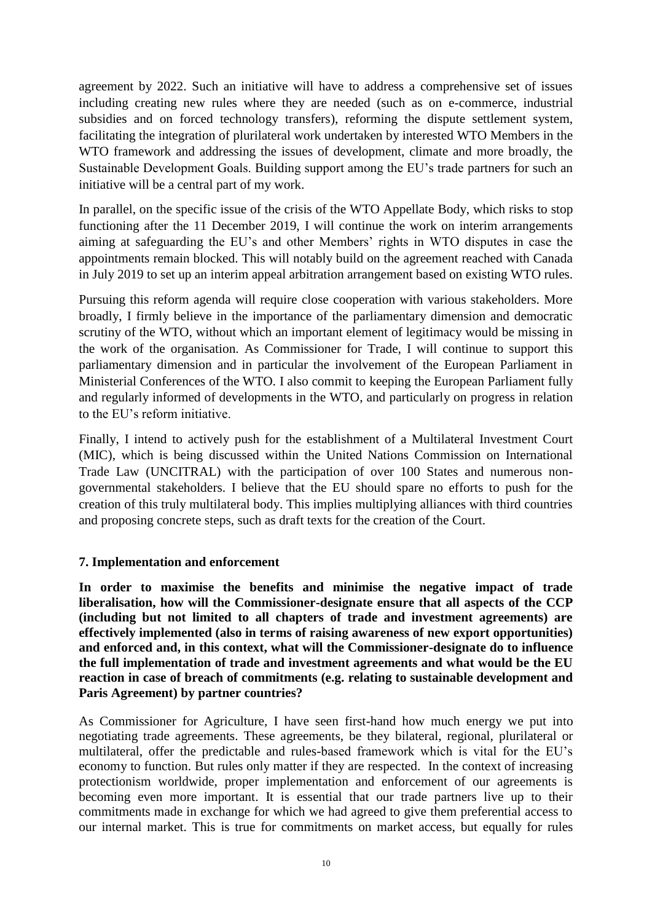agreement by 2022. Such an initiative will have to address a comprehensive set of issues including creating new rules where they are needed (such as on e-commerce, industrial subsidies and on forced technology transfers), reforming the dispute settlement system, facilitating the integration of plurilateral work undertaken by interested WTO Members in the WTO framework and addressing the issues of development, climate and more broadly, the Sustainable Development Goals. Building support among the EU's trade partners for such an initiative will be a central part of my work.

In parallel, on the specific issue of the crisis of the WTO Appellate Body, which risks to stop functioning after the 11 December 2019, I will continue the work on interim arrangements aiming at safeguarding the EU's and other Members' rights in WTO disputes in case the appointments remain blocked. This will notably build on the agreement reached with Canada in July 2019 to set up an interim appeal arbitration arrangement based on existing WTO rules.

Pursuing this reform agenda will require close cooperation with various stakeholders. More broadly, I firmly believe in the importance of the parliamentary dimension and democratic scrutiny of the WTO, without which an important element of legitimacy would be missing in the work of the organisation. As Commissioner for Trade, I will continue to support this parliamentary dimension and in particular the involvement of the European Parliament in Ministerial Conferences of the WTO. I also commit to keeping the European Parliament fully and regularly informed of developments in the WTO, and particularly on progress in relation to the EU's reform initiative.

Finally, I intend to actively push for the establishment of a Multilateral Investment Court (MIC), which is being discussed within the United Nations Commission on International Trade Law (UNCITRAL) with the participation of over 100 States and numerous nongovernmental stakeholders. I believe that the EU should spare no efforts to push for the creation of this truly multilateral body. This implies multiplying alliances with third countries and proposing concrete steps, such as draft texts for the creation of the Court.

### **7. Implementation and enforcement**

**In order to maximise the benefits and minimise the negative impact of trade liberalisation, how will the Commissioner-designate ensure that all aspects of the CCP (including but not limited to all chapters of trade and investment agreements) are effectively implemented (also in terms of raising awareness of new export opportunities) and enforced and, in this context, what will the Commissioner-designate do to influence the full implementation of trade and investment agreements and what would be the EU reaction in case of breach of commitments (e.g. relating to sustainable development and Paris Agreement) by partner countries?**

As Commissioner for Agriculture, I have seen first-hand how much energy we put into negotiating trade agreements. These agreements, be they bilateral, regional, plurilateral or multilateral, offer the predictable and rules-based framework which is vital for the EU's economy to function. But rules only matter if they are respected. In the context of increasing protectionism worldwide, proper implementation and enforcement of our agreements is becoming even more important. It is essential that our trade partners live up to their commitments made in exchange for which we had agreed to give them preferential access to our internal market. This is true for commitments on market access, but equally for rules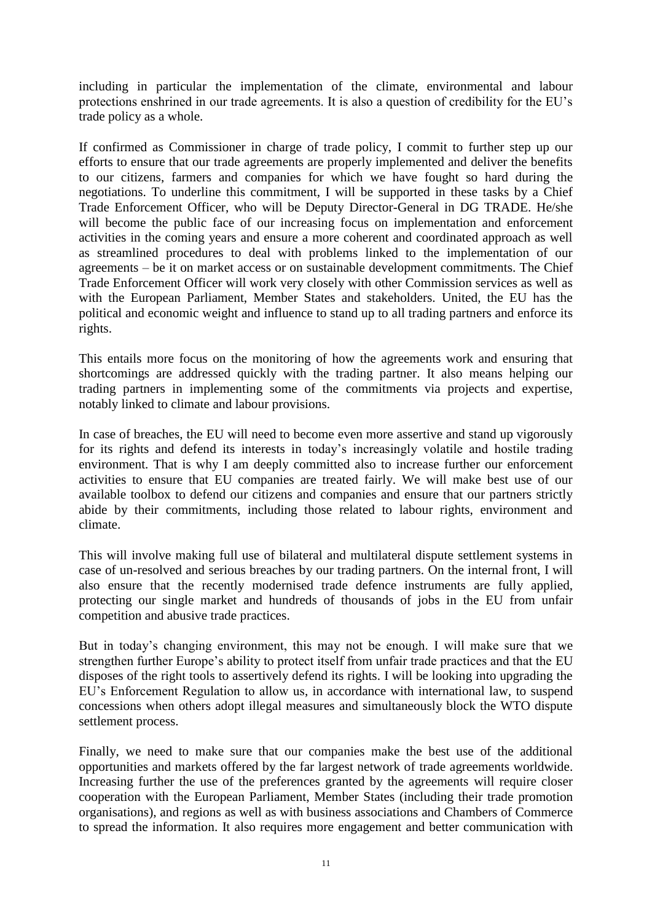including in particular the implementation of the climate, environmental and labour protections enshrined in our trade agreements. It is also a question of credibility for the EU's trade policy as a whole.

If confirmed as Commissioner in charge of trade policy, I commit to further step up our efforts to ensure that our trade agreements are properly implemented and deliver the benefits to our citizens, farmers and companies for which we have fought so hard during the negotiations. To underline this commitment, I will be supported in these tasks by a Chief Trade Enforcement Officer, who will be Deputy Director-General in DG TRADE. He/she will become the public face of our increasing focus on implementation and enforcement activities in the coming years and ensure a more coherent and coordinated approach as well as streamlined procedures to deal with problems linked to the implementation of our agreements – be it on market access or on sustainable development commitments. The Chief Trade Enforcement Officer will work very closely with other Commission services as well as with the European Parliament, Member States and stakeholders. United, the EU has the political and economic weight and influence to stand up to all trading partners and enforce its rights.

This entails more focus on the monitoring of how the agreements work and ensuring that shortcomings are addressed quickly with the trading partner. It also means helping our trading partners in implementing some of the commitments via projects and expertise, notably linked to climate and labour provisions.

In case of breaches, the EU will need to become even more assertive and stand up vigorously for its rights and defend its interests in today's increasingly volatile and hostile trading environment. That is why I am deeply committed also to increase further our enforcement activities to ensure that EU companies are treated fairly. We will make best use of our available toolbox to defend our citizens and companies and ensure that our partners strictly abide by their commitments, including those related to labour rights, environment and climate.

This will involve making full use of bilateral and multilateral dispute settlement systems in case of un-resolved and serious breaches by our trading partners. On the internal front, I will also ensure that the recently modernised trade defence instruments are fully applied, protecting our single market and hundreds of thousands of jobs in the EU from unfair competition and abusive trade practices.

But in today's changing environment, this may not be enough. I will make sure that we strengthen further Europe's ability to protect itself from unfair trade practices and that the EU disposes of the right tools to assertively defend its rights. I will be looking into upgrading the EU's Enforcement Regulation to allow us, in accordance with international law, to suspend concessions when others adopt illegal measures and simultaneously block the WTO dispute settlement process.

Finally, we need to make sure that our companies make the best use of the additional opportunities and markets offered by the far largest network of trade agreements worldwide. Increasing further the use of the preferences granted by the agreements will require closer cooperation with the European Parliament, Member States (including their trade promotion organisations), and regions as well as with business associations and Chambers of Commerce to spread the information. It also requires more engagement and better communication with